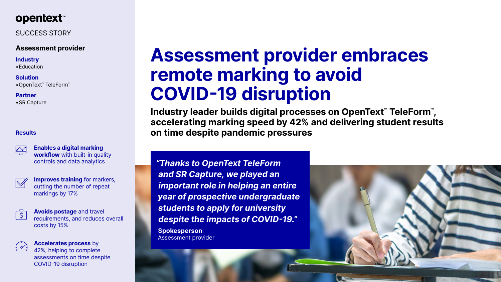

# SUCCESS STORY

# **Assessment provider**

#### **Industry**

•Education

#### **Solution**

•OpenText™ TeleForm™

### **Partner**

•SR Capture

# **Assessment provider embraces remote marking to avoid COVID-19 disruption**

**Industry leader builds digital processes on OpenText™ TeleForm™ , accelerating marking speed by 42% and delivering student results on time despite pandemic pressures** 

**Improves training** for markers, cutting the number of repeat markings by 17%



*"Thanks to OpenText TeleForm and SR Capture, we played an important role in helping an entire year of prospective undergraduate students to apply for university despite the impacts of COVID-19."*

**Spokesperson** Assessment provider





### **Results**



**Enables a digital marking workflow** with built-in quality controls and data analytics



**Avoids postage** and travel requirements, and reduces overall costs by 15%



**Accelerates process** by 42%, helping to complete assessments on time despite COVID-19 disruption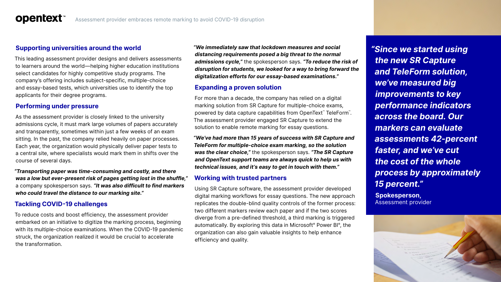

# **Supporting universities around the world**

This leading assessment provider designs and delivers assessments to learners around the world—helping higher education institutions select candidates for highly competitive study programs. The company's offering includes subject-specific, multiple-choice and essay-based tests, which universities use to identify the top applicants for their degree programs.

## **Performing under pressure**

As the assessment provider is closely linked to the university admissions cycle, it must mark large volumes of papers accurately and transparently, sometimes within just a few weeks of an exam sitting. In the past, the company relied heavily on paper processes. Each year, the organization would physically deliver paper tests to a central site, where specialists would mark them in shifts over the course of several days.

*"Transporting paper was time-consuming and costly, and there was a low but ever-present risk of pages getting lost in the shuffle,"* a company spokesperson says. *"It was also difficult to find markers who could travel the distance to our marking site."*

# **Tackling COVID-19 challenges**

To reduce costs and boost efficiency, the assessment provider embarked on an initiative to digitize the marking process, beginning with its multiple-choice examinations. When the COVID-19 pandemic struck, the organization realized it would be crucial to accelerate the transformation.

*"We immediately saw that lockdown measures and social distancing requirements posed a big threat to the normal admissions cycle,"* the spokesperson says. *"To reduce the risk of disruption for students, we looked for a way to bring forward the digitalization efforts for our essay-based examinations."*

# **Expanding a proven solution**

For more than a decade, the company has relied on a digital marking solution from SR Capture for multiple-choice exams, powered by data capture capabilities from OpenText™ TeleForm™. The assessment provider engaged SR Capture to extend the solution to enable remote marking for essay questions.

*"We've had more than 15 years of success with SR Capture and TeleForm for multiple-choice exam marking, so the solution was the clear choice,"* the spokesperson says. *"The SR Capture and OpenText support teams are always quick to help us with technical issues, and it's easy to get in touch with them."*

### **Working with trusted partners**

Using SR Capture software, the assessment provider developed digital marking workflows for essay questions. The new approach replicates the double-blind quality controls of the former process: two different markers review each paper and if the two scores diverge from a pre-defined threshold, a third marking is triggered automatically. By exploring this data in Microsoft® Power BI®, the organization can also gain valuable insights to help enhance efficiency and quality.

*"Since we started using the new SR Capture and TeleForm solution, we've measured big improvements to key performance indicators across the board. Our markers can evaluate assessments 42-percent faster, and we've cut the cost of the whole process by approximately 15 percent."* **Spokesperson,**

Assessment provider